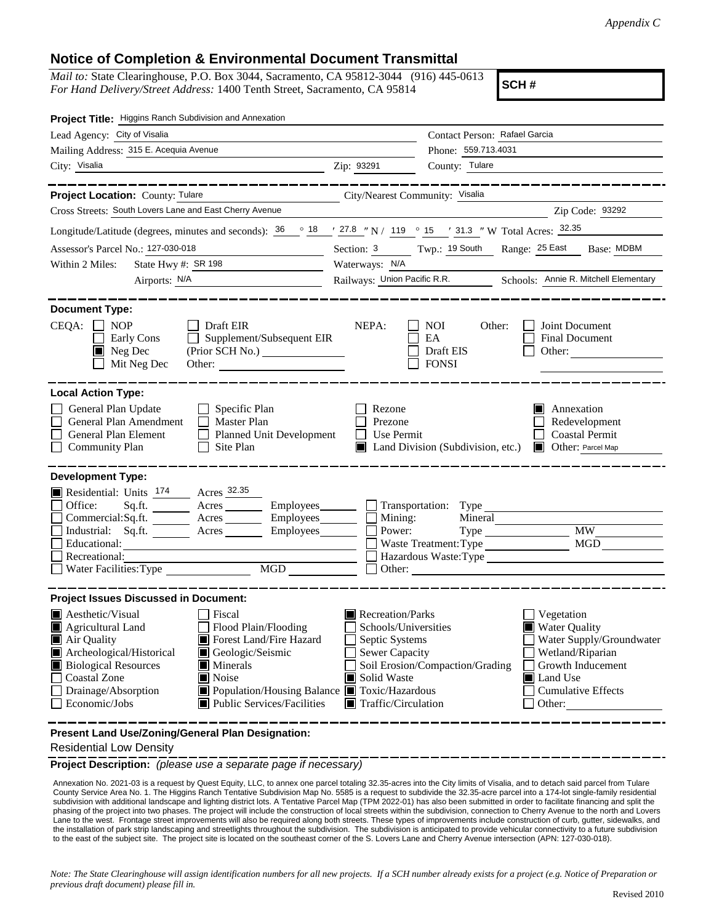## **Notice of Completion & Environmental Document Transmittal**

*Mail to:* State Clearinghouse, P.O. Box 3044, Sacramento, CA 95812-3044 (916) 445-0613 *For Hand Delivery/Street Address:* 1400 Tenth Street, Sacramento, CA 95814

**SCH #**

| Project Title: Higgins Ranch Subdivision and Annexation                                                                                                                                                                                                                                                                                                                                    |                                                                                                                                                                                                                                                                                                                                    |
|--------------------------------------------------------------------------------------------------------------------------------------------------------------------------------------------------------------------------------------------------------------------------------------------------------------------------------------------------------------------------------------------|------------------------------------------------------------------------------------------------------------------------------------------------------------------------------------------------------------------------------------------------------------------------------------------------------------------------------------|
| Lead Agency: City of Visalia                                                                                                                                                                                                                                                                                                                                                               | Contact Person: Rafael Garcia                                                                                                                                                                                                                                                                                                      |
| Mailing Address: 315 E. Acequia Avenue                                                                                                                                                                                                                                                                                                                                                     | Phone: 559.713.4031                                                                                                                                                                                                                                                                                                                |
| City: Visalia<br><u> 1989 - Johann Barn, amerikansk politiker (</u>                                                                                                                                                                                                                                                                                                                        | County: Tulare<br>Zip: 93291                                                                                                                                                                                                                                                                                                       |
| _____________                                                                                                                                                                                                                                                                                                                                                                              | ------------------                                                                                                                                                                                                                                                                                                                 |
| Project Location: County: Tulare<br><u> 1989 - Johann Stoff, Amerikaansk politiker (</u>                                                                                                                                                                                                                                                                                                   | City/Nearest Community: Visalia                                                                                                                                                                                                                                                                                                    |
| Cross Streets: South Lovers Lane and East Cherry Avenue                                                                                                                                                                                                                                                                                                                                    | Zip Code: 93292                                                                                                                                                                                                                                                                                                                    |
| Longitude/Latitude (degrees, minutes and seconds): $\frac{36}{18}$ $\frac{18}{127.8}$ $\frac{127.8}{119}$ $\frac{119}{119}$ $\frac{15}{15}$ $\frac{1}{13}$ $\frac{1}{31.3}$ "W Total Acres: $\frac{32.35}{15}$                                                                                                                                                                             |                                                                                                                                                                                                                                                                                                                                    |
| Assessor's Parcel No.: 127-030-018                                                                                                                                                                                                                                                                                                                                                         | Section: 3 Twp.: 19 South Range: 25 East Base: MDBM                                                                                                                                                                                                                                                                                |
| State Hwy #: $SR$ 198<br>Within 2 Miles:                                                                                                                                                                                                                                                                                                                                                   | Waterways: N/A                                                                                                                                                                                                                                                                                                                     |
| Airports: N/A                                                                                                                                                                                                                                                                                                                                                                              | Railways: Union Pacific R.R. Schools: Annie R. Mitchell Elementary                                                                                                                                                                                                                                                                 |
| <b>Document Type:</b><br>CEQA:<br><b>NOP</b><br>Draft EIR<br>Early Cons<br>Supplement/Subsequent EIR<br>Neg Dec<br>(Prior SCH No.) ________________<br>I II<br>Mit Neg Dec<br>Other:<br><b>Local Action Type:</b>                                                                                                                                                                          | NEPA:<br>NOI<br>Other:<br>Joint Document<br>EA<br><b>Final Document</b><br>Draft EIS<br>Other:<br><b>FONSI</b>                                                                                                                                                                                                                     |
| General Plan Update<br>$\Box$ Specific Plan<br>General Plan Amendment<br><b>Master Plan</b><br>$\perp$<br>General Plan Element<br><b>Planned Unit Development</b><br>$\Box$<br><b>Community Plan</b><br>Site Plan<br>$\perp$<br><b>Development Type:</b>                                                                                                                                   | Annexation<br>Rezone<br>Prezone<br>Redevelopment<br>Coastal Permit<br>Use Permit<br>Land Division (Subdivision, etc.) <b>I</b> Other: Parcel Map                                                                                                                                                                                   |
| Residential: Units 174 Acres 32.35<br>Office:<br>Sq.fit.<br>Acres<br>Employees_______                                                                                                                                                                                                                                                                                                      | Transportation: Type                                                                                                                                                                                                                                                                                                               |
| Acres __________ Employees________<br>Commercial:Sq.ft.                                                                                                                                                                                                                                                                                                                                    | Mining:<br>Mineral                                                                                                                                                                                                                                                                                                                 |
| Industrial: Sq.ft. _______ Acres<br>Employees_______                                                                                                                                                                                                                                                                                                                                       | <b>MW</b><br>Power:<br><b>MGD</b>                                                                                                                                                                                                                                                                                                  |
| Educational:<br>Recreational:                                                                                                                                                                                                                                                                                                                                                              | Waste Treatment: Type                                                                                                                                                                                                                                                                                                              |
| MGD<br>Water Facilities: Type                                                                                                                                                                                                                                                                                                                                                              | Other: <u>International Communication</u>                                                                                                                                                                                                                                                                                          |
| <b>Project Issues Discussed in Document:</b>                                                                                                                                                                                                                                                                                                                                               |                                                                                                                                                                                                                                                                                                                                    |
| $\blacksquare$ Aesthetic/Visual<br>Fiscal<br>Agricultural Land<br>Flood Plain/Flooding<br>Forest Land/Fire Hazard<br>Air Quality<br>Archeological/Historical<br>Geologic/Seismic<br><b>Biological Resources</b><br>Minerals<br>Noise<br><b>Coastal Zone</b><br>Drainage/Absorption<br>■ Population/Housing Balance ■ Toxic/Hazardous<br><b>Public Services/Facilities</b><br>Economic/Jobs | Recreation/Parks<br>Vegetation<br><b>Water Quality</b><br>Schools/Universities<br>Septic Systems<br>Water Supply/Groundwater<br>Sewer Capacity<br>Wetland/Riparian<br>Soil Erosion/Compaction/Grading<br>Growth Inducement<br>Solid Waste<br>Land Use<br><b>Cumulative Effects</b><br>$\blacksquare$ Traffic/Circulation<br>Other: |

**Present Land Use/Zoning/General Plan Designation:**

Residential Low Density

**Project Description:** *(please use a separate page if necessary)*

 Annexation No. 2021-03 is a request by Quest Equity, LLC, to annex one parcel totaling 32.35-acres into the City limits of Visalia, and to detach said parcel from Tulare County Service Area No. 1. The Higgins Ranch Tentative Subdivision Map No. 5585 is a request to subdivide the 32.35-acre parcel into a 174-lot single-family residential subdivision with additional landscape and lighting district lots. A Tentative Parcel Map (TPM 2022-01) has also been submitted in order to facilitate financing and split the phasing of the project into two phases. The project will include the construction of local streets within the subdivision, connection to Cherry Avenue to the north and Lovers Lane to the west. Frontage street improvements will also be required along both streets. These types of improvements include construction of curb, gutter, sidewalks, and the installation of park strip landscaping and streetlights throughout the subdivision. The subdivision is anticipated to provide vehicular connectivity to a future subdivision to the east of the subject site. The project site is located on the southeast corner of the S. Lovers Lane and Cherry Avenue intersection (APN: 127-030-018).

*Note: The State Clearinghouse will assign identification numbers for all new projects. If a SCH number already exists for a project (e.g. Notice of Preparation or previous draft document) please fill in.*